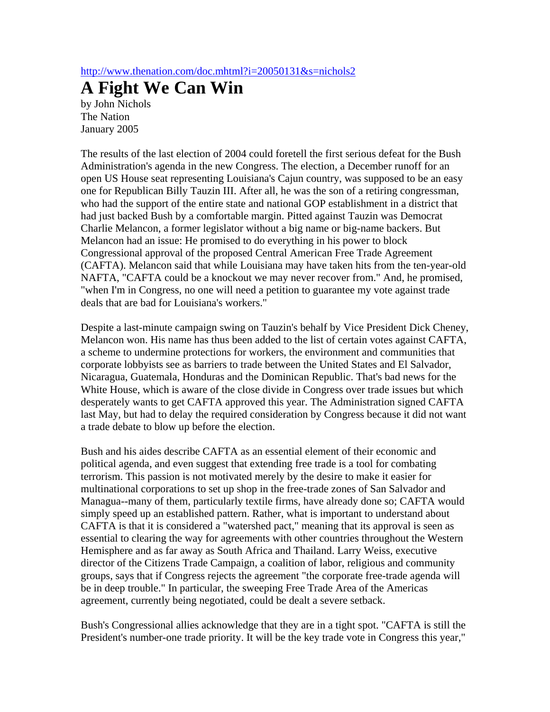http://www.thenation.com/doc.mhtml?i=20050131&s=nichols2

## **A Fight We Can Win**

by John Nichols The Nation January 2005

The results of the last election of 2004 could foretell the first serious defeat for the Bush Administration's agenda in the new Congress. The election, a December runoff for an open US House seat representing Louisiana's Cajun country, was supposed to be an easy one for Republican Billy Tauzin III. After all, he was the son of a retiring congressman, who had the support of the entire state and national GOP establishment in a district that had just backed Bush by a comfortable margin. Pitted against Tauzin was Democrat Charlie Melancon, a former legislator without a big name or big-name backers. But Melancon had an issue: He promised to do everything in his power to block Congressional approval of the proposed Central American Free Trade Agreement (CAFTA). Melancon said that while Louisiana may have taken hits from the ten-year-old NAFTA, "CAFTA could be a knockout we may never recover from." And, he promised, "when I'm in Congress, no one will need a petition to guarantee my vote against trade deals that are bad for Louisiana's workers."

Despite a last-minute campaign swing on Tauzin's behalf by Vice President Dick Cheney, Melancon won. His name has thus been added to the list of certain votes against CAFTA, a scheme to undermine protections for workers, the environment and communities that corporate lobbyists see as barriers to trade between the United States and El Salvador, Nicaragua, Guatemala, Honduras and the Dominican Republic. That's bad news for the White House, which is aware of the close divide in Congress over trade issues but which desperately wants to get CAFTA approved this year. The Administration signed CAFTA last May, but had to delay the required consideration by Congress because it did not want a trade debate to blow up before the election.

Bush and his aides describe CAFTA as an essential element of their economic and political agenda, and even suggest that extending free trade is a tool for combating terrorism. This passion is not motivated merely by the desire to make it easier for multinational corporations to set up shop in the free-trade zones of San Salvador and Managua--many of them, particularly textile firms, have already done so; CAFTA would simply speed up an established pattern. Rather, what is important to understand about CAFTA is that it is considered a "watershed pact," meaning that its approval is seen as essential to clearing the way for agreements with other countries throughout the Western Hemisphere and as far away as South Africa and Thailand. Larry Weiss, executive director of the Citizens Trade Campaign, a coalition of labor, religious and community groups, says that if Congress rejects the agreement "the corporate free-trade agenda will be in deep trouble." In particular, the sweeping Free Trade Area of the Americas agreement, currently being negotiated, could be dealt a severe setback.

Bush's Congressional allies acknowledge that they are in a tight spot. "CAFTA is still the President's number-one trade priority. It will be the key trade vote in Congress this year,"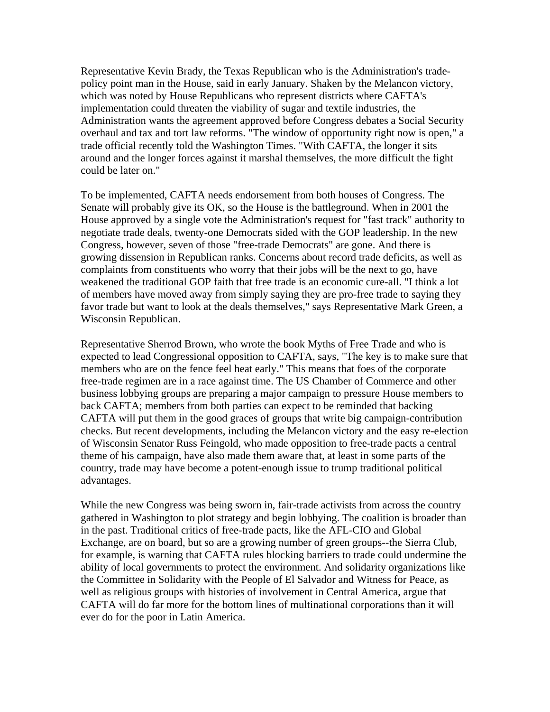Representative Kevin Brady, the Texas Republican who is the Administration's tradepolicy point man in the House, said in early January. Shaken by the Melancon victory, which was noted by House Republicans who represent districts where CAFTA's implementation could threaten the viability of sugar and textile industries, the Administration wants the agreement approved before Congress debates a Social Security overhaul and tax and tort law reforms. "The window of opportunity right now is open," a trade official recently told the Washington Times. "With CAFTA, the longer it sits around and the longer forces against it marshal themselves, the more difficult the fight could be later on."

To be implemented, CAFTA needs endorsement from both houses of Congress. The Senate will probably give its OK, so the House is the battleground. When in 2001 the House approved by a single vote the Administration's request for "fast track" authority to negotiate trade deals, twenty-one Democrats sided with the GOP leadership. In the new Congress, however, seven of those "free-trade Democrats" are gone. And there is growing dissension in Republican ranks. Concerns about record trade deficits, as well as complaints from constituents who worry that their jobs will be the next to go, have weakened the traditional GOP faith that free trade is an economic cure-all. "I think a lot of members have moved away from simply saying they are pro-free trade to saying they favor trade but want to look at the deals themselves," says Representative Mark Green, a Wisconsin Republican.

Representative Sherrod Brown, who wrote the book Myths of Free Trade and who is expected to lead Congressional opposition to CAFTA, says, "The key is to make sure that members who are on the fence feel heat early." This means that foes of the corporate free-trade regimen are in a race against time. The US Chamber of Commerce and other business lobbying groups are preparing a major campaign to pressure House members to back CAFTA; members from both parties can expect to be reminded that backing CAFTA will put them in the good graces of groups that write big campaign-contribution checks. But recent developments, including the Melancon victory and the easy re-election of Wisconsin Senator Russ Feingold, who made opposition to free-trade pacts a central theme of his campaign, have also made them aware that, at least in some parts of the country, trade may have become a potent-enough issue to trump traditional political advantages.

While the new Congress was being sworn in, fair-trade activists from across the country gathered in Washington to plot strategy and begin lobbying. The coalition is broader than in the past. Traditional critics of free-trade pacts, like the AFL-CIO and Global Exchange, are on board, but so are a growing number of green groups--the Sierra Club, for example, is warning that CAFTA rules blocking barriers to trade could undermine the ability of local governments to protect the environment. And solidarity organizations like the Committee in Solidarity with the People of El Salvador and Witness for Peace, as well as religious groups with histories of involvement in Central America, argue that CAFTA will do far more for the bottom lines of multinational corporations than it will ever do for the poor in Latin America.